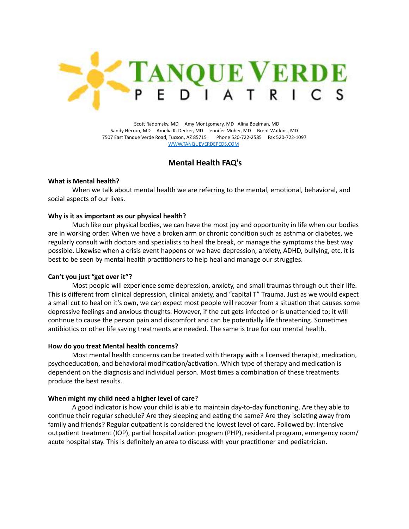

 Scott Radomsky, MD Amy Montgomery, MD Alina Boelman, MD Sandy Herron, MD Amelia K. Decker, MD Jennifer Moher, MD Brent Watkins, MD 7507 East Tanque Verde Road, Tucson, AZ 85715 Phone 520-722-2585 Fax 520-722-1097 [WWW.TANQUEVERDEPEDS.COM](http://www.tanqueverdepeds.com)

# **Mental Health FAQ's**

### **What is Mental health?**

When we talk about mental health we are referring to the mental, emotional, behavioral, and social aspects of our lives.

## **Why is it as important as our physical health?**

Much like our physical bodies, we can have the most joy and opportunity in life when our bodies are in working order. When we have a broken arm or chronic condition such as asthma or diabetes, we regularly consult with doctors and specialists to heal the break, or manage the symptoms the best way possible. Likewise when a crisis event happens or we have depression, anxiety, ADHD, bullying, etc, it is best to be seen by mental health practitioners to help heal and manage our struggles.

### **Can't you just "get over it"?**

Most people will experience some depression, anxiety, and small traumas through out their life. This is different from clinical depression, clinical anxiety, and "capital T" Trauma. Just as we would expect a small cut to heal on it's own, we can expect most people will recover from a situation that causes some depressive feelings and anxious thoughts. However, if the cut gets infected or is unattended to; it will continue to cause the person pain and discomfort and can be potentially life threatening. Sometimes antibiotics or other life saving treatments are needed. The same is true for our mental health.

### **How do you treat Mental health concerns?**

Most mental health concerns can be treated with therapy with a licensed therapist, medication, psychoeducation, and behavioral modification/activation. Which type of therapy and medication is dependent on the diagnosis and individual person. Most times a combination of these treatments produce the best results.

### **When might my child need a higher level of care?**

A good indicator is how your child is able to maintain day-to-day functioning. Are they able to continue their regular schedule? Are they sleeping and eating the same? Are they isolating away from family and friends? Regular outpatient is considered the lowest level of care. Followed by: intensive outpatient treatment (IOP), partial hospitalization program (PHP), residental program, emergency room/ acute hospital stay. This is definitely an area to discuss with your practitioner and pediatrician.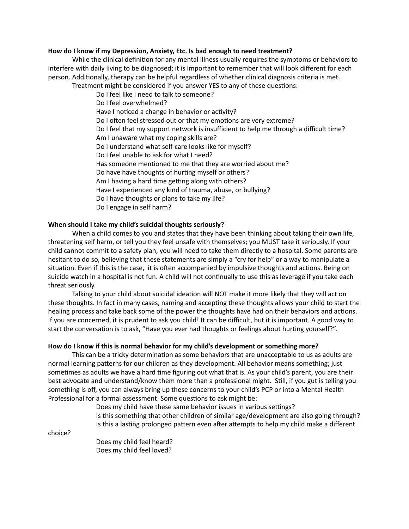### **How do I know if my Depression, Anxiety, Etc. Is bad enough to need treatment?**

While the clinical definition for any mental illness usually requires the symptoms or behaviors to interfere with daily living to be diagnosed; it is important to remember that will look different for each person. Additionally, therapy can be helpful regardless of whether clinical diagnosis criteria is met. Treatment might be considered if you answer YES to any of these questions:

Do I feel like I need to talk to someone? Do I feel overwhelmed? Have I noticed a change in behavior or activity? Do I often feel stressed out or that my emotions are very extreme? Do I feel that my support network is insufficient to help me through a difficult time? Am I unaware what my coping skills are? Do I understand what self-care looks like for myself? Do I feel unable to ask for what I need? Has someone mentioned to me that they are worried about me? Do have have thoughts of hurting myself or others? Am I having a hard time getting along with others? Have I experienced any kind of trauma, abuse, or bullying? Do I have thoughts or plans to take my life? Do I engage in self harm?

## **When should I take my child's suicidal thoughts seriously?**

When a child comes to you and states that they have been thinking about taking their own life, threatening self harm, or tell you they feel unsafe with themselves; you MUST take it seriously. If your child cannot commit to a safety plan, you will need to take them directly to a hospital. Some parents are hesitant to do so, believing that these statements are simply a "cry for help" or a way to manipulate a situation. Even if this is the case, it is often accompanied by impulsive thoughts and actions. Being on suicide watch in a hospital is not fun. A child will not continually to use this as leverage if you take each threat seriously.

Talking to your child about suicidal ideation will NOT make it more likely that they will act on these thoughts. In fact in many cases, naming and accepting these thoughts allows your child to start the healing process and take back some of the power the thoughts have had on their behaviors and actions. If you are concerned, it is prudent to ask you child! It can be difficult, but it is important. A good way to start the conversation is to ask, "Have you ever had thoughts or feelings about hurting yourself?".

### **How do I know if this is normal behavior for my child's development or something more?**

This can be a tricky determination as some behaviors that are unacceptable to us as adults are normal learning patterns for our children as they development. All behavior means something; just sometimes as adults we have a hard time figuring out what that is. As your child's parent, you are their best advocate and understand/know them more than a professional might. Still, if you gut is telling you something is off, you can always bring up these concerns to your child's PCP or into a Mental Health Professional for a formal assessment. Some questions to ask might be:

> Does my child have these same behavior issues in various settings? Is this something that other children of similar age/development are also going through? Is this a lasting prolonged pattern even after attempts to help my child make a different

choice?

Does my child feel heard? Does my child feel loved?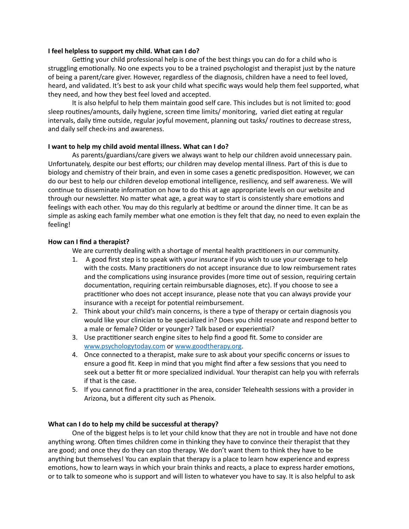### **I feel helpless to support my child. What can I do?**

Getting your child professional help is one of the best things you can do for a child who is struggling emotionally. No one expects you to be a trained psychologist and therapist just by the nature of being a parent/care giver. However, regardless of the diagnosis, children have a need to feel loved, heard, and validated. It's best to ask your child what specific ways would help them feel supported, what they need, and how they best feel loved and accepted.

It is also helpful to help them maintain good self care. This includes but is not limited to: good sleep routines/amounts, daily hygiene, screen time limits/ monitoring, varied diet eating at regular intervals, daily time outside, regular joyful movement, planning out tasks/ routines to decrease stress, and daily self check-ins and awareness.

## **I want to help my child avoid mental illness. What can I do?**

As parents/guardians/care givers we always want to help our children avoid unnecessary pain. Unfortunately, despite our best efforts; our children may develop mental illness. Part of this is due to biology and chemistry of their brain, and even in some cases a genetic predisposition. However, we can do our best to help our children develop emotional intelligence, resiliency, and self awareness. We will continue to disseminate information on how to do this at age appropriate levels on our website and through our newsletter. No matter what age, a great way to start is consistently share emotions and feelings with each other. You may do this regularly at bedtime or around the dinner time. It can be as simple as asking each family member what one emotion is they felt that day, no need to even explain the feeling!

## **How can I find a therapist?**

We are currently dealing with a shortage of mental health practitioners in our community.

- 1. A good first step is to speak with your insurance if you wish to use your coverage to help with the costs. Many practitioners do not accept insurance due to low reimbursement rates and the complications using insurance provides (more time out of session, requiring certain documentation, requiring certain reimbursable diagnoses, etc). If you choose to see a practitioner who does not accept insurance, please note that you can always provide your insurance with a receipt for potential reimbursement.
- 2. Think about your child's main concerns, is there a type of therapy or certain diagnosis you would like your clinician to be specialized in? Does you child resonate and respond better to a male or female? Older or younger? Talk based or experiential?
- 3. Use practitioner search engine sites to help find a good fit. Some to consider are [www.psychologytoday.com](http://www.psychologytoday.com) or [www.goodtherapy.org.](http://www.goodtherapy.org)
- 4. Once connected to a therapist, make sure to ask about your specific concerns or issues to ensure a good fit. Keep in mind that you might find after a few sessions that you need to seek out a better fit or more specialized individual. Your therapist can help you with referrals if that is the case.
- 5. If you cannot find a practitioner in the area, consider Telehealth sessions with a provider in Arizona, but a different city such as Phenoix.

# **What can I do to help my child be successful at therapy?**

One of the biggest helps is to let your child know that they are not in trouble and have not done anything wrong. Often times children come in thinking they have to convince their therapist that they are good; and once they do they can stop therapy. We don't want them to think they have to be anything but themselves! You can explain that therapy is a place to learn how experience and express emotions, how to learn ways in which your brain thinks and reacts, a place to express harder emotions, or to talk to someone who is support and will listen to whatever you have to say. It is also helpful to ask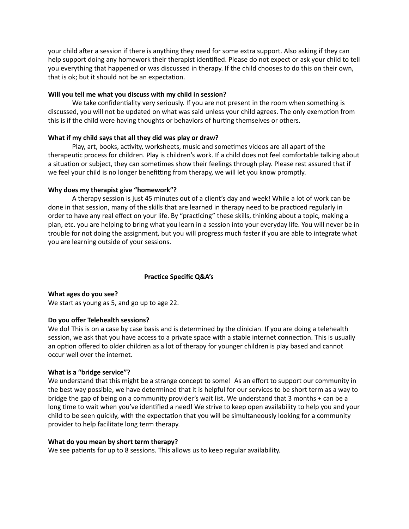your child after a session if there is anything they need for some extra support. Also asking if they can help support doing any homework their therapist identified. Please do not expect or ask your child to tell you everything that happened or was discussed in therapy. If the child chooses to do this on their own, that is ok; but it should not be an expectation.

# **Will you tell me what you discuss with my child in session?**

We take confidentiality very seriously. If you are not present in the room when something is discussed, you will not be updated on what was said unless your child agrees. The only exemption from this is if the child were having thoughts or behaviors of hurting themselves or others.

# **What if my child says that all they did was play or draw?**

Play, art, books, activity, worksheets, music and sometimes videos are all apart of the therapeutic process for children. Play is children's work. If a child does not feel comfortable talking about a situation or subject, they can sometimes show their feelings through play. Please rest assured that if we feel your child is no longer benefitting from therapy, we will let you know promptly.

## **Why does my therapist give "homework"?**

A therapy session is just 45 minutes out of a client's day and week! While a lot of work can be done in that session, many of the skills that are learned in therapy need to be practiced regularly in order to have any real effect on your life. By "practicing" these skills, thinking about a topic, making a plan, etc. you are helping to bring what you learn in a session into your everyday life. You will never be in trouble for not doing the assignment, but you will progress much faster if you are able to integrate what you are learning outside of your sessions.

# **Practice Specific Q&A's**

**What ages do you see?** We start as young as 5, and go up to age 22.

### **Do you offer Telehealth sessions?**

We do! This is on a case by case basis and is determined by the clinician. If you are doing a telehealth session, we ask that you have access to a private space with a stable internet connection. This is usually an option offered to older children as a lot of therapy for younger children is play based and cannot occur well over the internet.

### **What is a "bridge service"?**

We understand that this might be a strange concept to some! As an effort to support our community in the best way possible, we have determined that it is helpful for our services to be short term as a way to bridge the gap of being on a community provider's wait list. We understand that 3 months + can be a long time to wait when you've identified a need! We strive to keep open availability to help you and your child to be seen quickly, with the expectation that you will be simultaneously looking for a community provider to help facilitate long term therapy.

### **What do you mean by short term therapy?**

We see patients for up to 8 sessions. This allows us to keep regular availability.